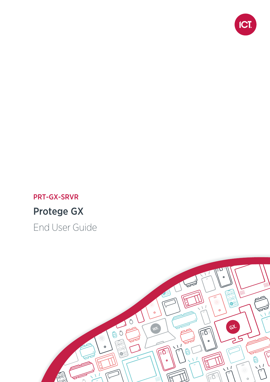

# PRT-GX-SRVR Protege GX

End User Guide

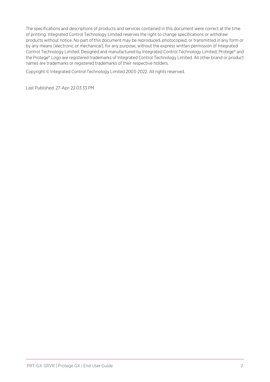The specifications and descriptions of products and services contained in this document were correct at the time of printing. Integrated Control Technology Limited reserves the right to change specifications or withdraw products without notice. No part of this document may be reproduced, photocopied, or transmitted in any form or by any means (electronic or mechanical), for any purpose, without the express written permission of Integrated Control Technology Limited. Designed and manufactured by Integrated Control Technology Limited, Protege® and the Protege® Logo are registered trademarks of Integrated Control Technology Limited. All other brand or product names are trademarks or registered trademarks of their respective holders.

Copyright © Integrated Control Technology Limited 2003-2022. All rights reserved.

Last Published: 27-Apr-22 03:33 PM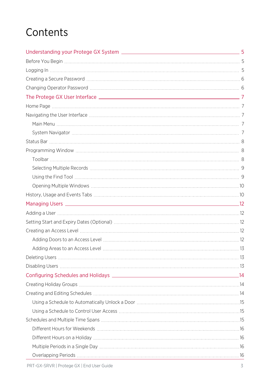# **Contents**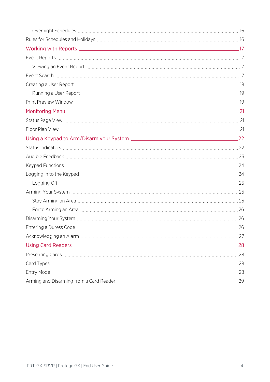| Monitoring Menu 21 |     |
|--------------------|-----|
|                    |     |
|                    |     |
|                    |     |
|                    |     |
|                    |     |
|                    |     |
|                    |     |
|                    |     |
|                    |     |
|                    |     |
|                    |     |
|                    |     |
|                    |     |
|                    |     |
|                    | .28 |
|                    |     |
|                    |     |
|                    |     |
|                    |     |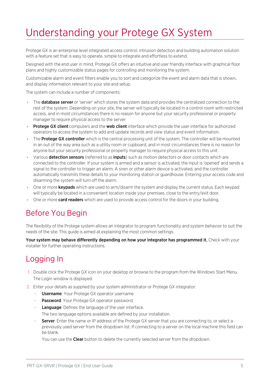# <span id="page-4-0"></span>Understanding your Protege GX System

Protege GX is an enterprise level integrated access control, intrusion detection and building automation solution with a feature set that is easy to operate, simple to integrate and effortless to extend.

Designed with the end user in mind, Protege GX offers an intuitive and user friendly interface with graphical floor plans and highly customizable status pages for controlling and monitoring the system.

Customizable alarm and event filters enable you to sort and categorize the event and alarm data that is shown, and display information relevant to your site and setup.

The system can include a number of components:

- The **database server** or 'server' which stores the system data and provides the centralized connection to the rest of the system. Depending on your site, the server will typically be located in a control room with restricted access, and in most circumstances there is no reason for anyone but your security professional or property manager to require physical access to the server.
- Protege GX client computers and the web client interface which provide the user interface for authorized operators to access the system to add and update records and view status and event information.
- The **Protege GX controller** which is the central processing unit of the system. The controller will be mounted in an out of the way area such as a utility room or cupboard, and in most circumstances there is no reason for anyone but your security professional or property manager to require physical access to this unit.
- Various detection sensors (referred to as inputs) such as motion detectors or door contacts which are connected to the controller. If your system is armed and a sensor is activated, the input is 'opened' and sends a signal to the controller to trigger an alarm. A siren or other alarm device is activated, and the controller automatically transmits these details to your monitoring station or guardhouse. Entering your access code and disarming the system will turn off the alarm.
- One or more **keypads** which are used to arm/disarm the system and display the current status. Each keypad will typically be located in a convenient location inside your premises, close to the entry/exit door.
- <span id="page-4-1"></span>• One or more **card readers** which are used to provide access control for the doors in your building.

## Before You Begin

The flexibility of the Protege system allows an integrator to program functionality and system behavior to suit the needs of the site. This guide is aimed at explaining the most common settings.

<span id="page-4-2"></span>Your system may behave differently depending on how your integrator has programmed it. Check with your installer for further operating instructions.

# Logging In

- 1. Double click the Protege GX icon on your desktop or browse to the program from the Windows Start Menu. The Login window is displayed.
- 2. Enter your details as supplied by your system administrator or Protege GX integrator:
	- **Username**: Your Protege GX operator username.
	- Password: Your Protege GX operator password.
	- Language: Defines the language of the user interface. The two language options available are defined by your installation.
	- **Server:** Enter the name or IP address of the Protege GX server that you are connecting to, or select a previously used server from the dropdown list. If connecting to a server on the local machine this field can be blank.

You can use the **Clear** button to delete the currently selected server from the dropdown.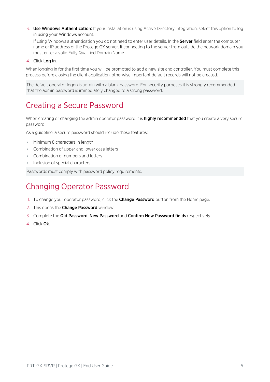3. Use Windows Authentication: If your installation is using Active Directory integration, select this option to log in using your Windows account.

If using Windows authentication you do not need to enter user details. In the Server field enter the computer name or IP address of the Protege GX server. If connecting to the server from outside the network domain you must enter a valid Fully Qualified Domain Name.

4. Click Log in.

When logging in for the first time you will be prompted to add a new site and controller. You must complete this process before closing the client application, otherwise important default records will not be created.

<span id="page-5-0"></span>The default operator logon is admin with a blank password. For security purposes it is strongly recommended that the admin password is immediately changed to a strong password.

# Creating a Secure Password

When creating or changing the admin operator password it is **highly recommended** that you create a very secure password.

As a guideline, a secure password should include these features:

- ⦁ Minimum 8 characters in length
- ⦁ Combination of upper and lower case letters
- ⦁ Combination of numbers and letters
- ⦁ Inclusion of special characters

<span id="page-5-1"></span>Passwords must comply with password policy requirements.

# Changing Operator Password

- 1. To change your operator password, click the Change Password button from the Home page.
- 2. This opens the **Change Password** window.
- 3. Complete the Old Password, New Password and Confirm New Password fields respectively.
- 4. Click Ok.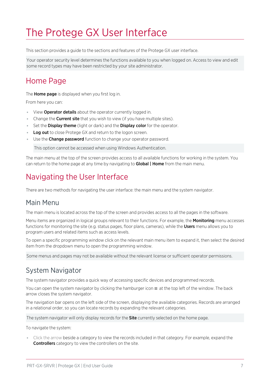# <span id="page-6-0"></span>The Protege GX User Interface

This section provides a guide to the sections and features of the Protege GX user interface.

<span id="page-6-1"></span>Your operator security level determines the functions available to you when logged on. Access to view and edit some record types may have been restricted by your site administrator.

## Home Page

The **Home page** is displayed when you first log in.

From here you can:

- View **Operator details** about the operator currently logged in.
- Change the **Current site** that you wish to view (if you have multiple sites).
- Set the **Display theme** (light or dark) and the **Display color** for the operator.
- Log out to close Protege GX and return to the logon screen.
- ⦁ Use the Change password function to change your operator password.

This option cannot be accessed when using Windows Authentication.

<span id="page-6-2"></span>The main menu at the top of the screen provides access to all available functions for working in the system. You can return to the home page at any time by navigating to **Global | Home** from the main menu.

# Navigating the User Interface

<span id="page-6-3"></span>There are two methods for navigating the user interface: the main menu and the system navigator.

#### Main Menu

The main menu is located across the top of the screen and provides access to all the pages in the software.

Menu items are organized in logical groups relevant to their functions. For example, the Monitoring menu accesses functions for monitoring the site (e.g. status pages, floor plans, cameras), while the **Users** menu allows you to program users and related items such as access levels.

To open a specific programming window click on the relevant main menu item to expand it, then select the desired item from the dropdown menu to open the programming window.

<span id="page-6-4"></span>Some menus and pages may not be available without the relevant license or sufficient operator permissions.

#### System Navigator

The system navigator provides a quick way of accessing specific devices and programmed records.

You can open the system navigator by clicking the hamburger icon  $\equiv$  at the top left of the window. The back arrow closes the system navigator.

The navigation bar opens on the left side of the screen, displaying the available categories. Records are arranged in a relational order, so you can locate records by expanding the relevant categories.

The system navigator will only display records for the **Site** currently selected on the home page.

To navigate the system:

⦁ Click the arrow beside a category to view the records included in that category. For example, expand the **Controllers** category to view the controllers on the site.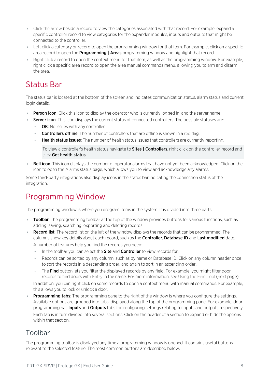- ⦁ Click the arrow beside a record to view the categories associated with that record. For example, expand a specific controller record to view categories for the expander modules, inputs and outputs that might be connected to the controller.
- ⦁ Left click a category or record to open the programming window for that item. For example, click on a specific area record to open the **Programming | Areas** programming window and highlight that record.
- ⦁ Right click a record to open the context menu for that item, as well as the programming window. For example, right click a specific area record to open the area manual commands menu, allowing you to arm and disarm the area.

# <span id="page-7-0"></span>Status Bar

The status bar is located at the bottom of the screen and indicates communication status, alarm status and current login details.

- **Person icon:** Click this icon to display the operator who is currently logged in, and the server name.
- Server icon: This icon displays the current status of connected controllers. The possible statuses are:
	- OK: No issues with any controller.
	- **Controllers offline**: The number of controllers that are offline is shown in a red flag.
	- Health status issues: The number of health status issues that controllers are currently reporting.

To view a controller's health status navigate to **Sites | Controllers**, right click on the controller record and click Get health status.

Bell icon: This icon displays the number of operator alarms that have not yet been acknowledged. Click on the icon to open the Alarms status page, which allows you to view and acknowledge any alarms.

<span id="page-7-1"></span>Some third-party integrations also display icons in the status bar indicating the connection status of the integration.

# Programming Window

The programming window is where you program items in the system. It is divided into three parts:

- Toolbar: The programming toolbar at the top of the window provides buttons for various functions, such as adding, saving, searching, exporting and deleting records.
- **Record list**: The record list on the left of the window displays the records that can be programmed. The columns show key details about each record, such as the **Controller, Database ID** and Last modified date. A number of features help you find the records you need:
	- In the toolbar you can select the **Site** and **Controller** to view records for.
	- Records can be sorted by any column, such as by name or Database ID. Click on any column header once to sort the records in a descending order, and again to sort in an ascending order.
	- The Find button lets you filter the displayed records by any field. For example, you might filter door records to find doors with Entry in the name. For more [information,](#page-8-1) see Using the Find Tool (next page). In addition, you can right click on some records to open a context menu with manual commands. For example,

this allows you to lock or unlock a door.

**Programming tabs:** The programming pane to the right of the window is where you configure the settings. Available options are grouped into tabs, displayed along the top of the programming pane. For example, door programming has **Inputs** and **Outputs** tabs for configuring settings relating to inputs and outputs respectively. Each tab is in turn divided into several sections. Click on the header of a section to expand or hide the options within that section.

### <span id="page-7-2"></span>Toolbar

The programming toolbar is displayed any time a programming window is opened. It contains useful buttons relevant to the selected feature. The most common buttons are described below.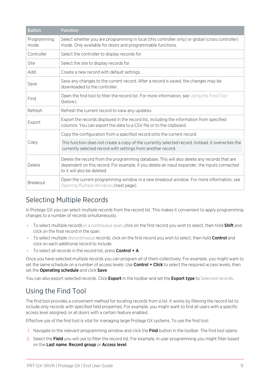| <b>Button</b>       | <b>Function</b>                                                                                                                                                                                                            |
|---------------------|----------------------------------------------------------------------------------------------------------------------------------------------------------------------------------------------------------------------------|
| Programming<br>mode | Select whether you are programming in local (this controller only) or global (cross controller)<br>mode. Only available for doors and programmable functions.                                                              |
| Controller          | Select the controller to display records for.                                                                                                                                                                              |
| Site                | Select the site to display records for.                                                                                                                                                                                    |
| Add                 | Create a new record with default settings.                                                                                                                                                                                 |
| Save                | Save any changes to the current record. After a record is saved, the changes may be<br>downloaded to the controller.                                                                                                       |
| Find                | Open the find tool to filter the record list. For more information, see Using the Find Tool<br>(below).                                                                                                                    |
| Refresh             | Refresh the current record to view any updates.                                                                                                                                                                            |
| Export              | Export the records displayed in the record list, including the information from specified<br>columns. You can export the data to a CSV file or to the clipboard.                                                           |
|                     | Copy the configuration from a specified record onto the current record.                                                                                                                                                    |
| Copy                | This function does not create a copy of the currently selected record. Instead, it overwrites the<br>currently selected record with settings from another record.                                                          |
| Delete              | Delete the record from the programming database. This will also delete any records that are<br>dependent on this record. For example, if you delete an input expander, the inputs connected<br>to it will also be deleted. |
| Breakout            | Open the current programming window in a new breakout window. For more information, see<br>Opening Multiple Windows (next page).                                                                                           |

### <span id="page-8-0"></span>Selecting Multiple Records

In Protege GX you can select multiple records from the record list. This makes it convenient to apply programming changes to a number of records simultaneously.

- To select multiple records in a continuous span, click on the first record you wish to select, then hold Shift and click on the final record in the span.
- To select multiple discontinuous records, click on the first record you wish to select, then hold Control and click on each additional record to include.
- To select all records in the record list, press **Control + A**.

Once you have selected multiple records you can program all of them collectively. For example, you might want to set the same schedule on a number of access levels. Use **Control + Click** to select the required access levels, then set the **Operating schedule** and click **Save**.

<span id="page-8-1"></span>You can also export selected records. Click Export in the toolbar and set the Export type to Selected records.

### Using the Find Tool

The find tool provides a convenient method for locating records from a list. It works by filtering the record list to include only records with specified field properties. For example, you might want to find all users with a specific access level assigned, or all doors with a certain feature enabled.

Effective use of the find tool is vital for managing large Protege GX systems. To use the find tool:

- 1. Navigate to the relevant programming window and click the Find button in the toolbar. The find tool opens.
- 2. Select the Field you will use to filter the record list. For example, in user programming you might filter based on the Last name, Record group or Access level.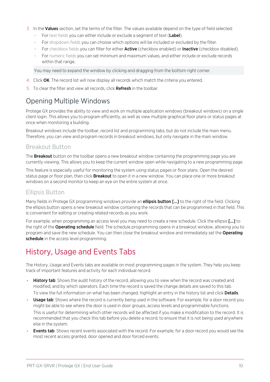- 3. In the Values section, set the terms of the filter. The values available depend on the type of field selected:
	- For text fields you can either include or exclude a segment of text (Label).
	- For dropdown fields you can choose which options will be included or excluded by the filter.
	- For checkbox fields you can filter for either **Active** (checkbox enabled) or **Inactive** (checkbox disabled).
	- For numeric fields you can set minimum and maximum values, and either include or exclude records within that range.

You may need to expand the window by clicking and dragging from the bottom right corner.

- 4. Click OK. The record list will now display all records which match the criteria you entered.
- <span id="page-9-0"></span>5. To clear the filter and view all records, click **Refresh** in the toolbar.

#### Opening Multiple Windows

Protege GX provides the ability to view and work on multiple application windows (breakout windows) on a single client login. This allows you to program efficiently, as well as view multiple graphical floor plans or status pages at once when monitoring a building.

Breakout windows include the toolbar, record list and programming tabs, but do not include the main menu. Therefore, you can view and program records in breakout windows, but only navigate in the main window.

#### Breakout Button

The **Breakout** button on the toolbar opens a new breakout window containing the programming page you are currently viewing. This allows you to keep the current window open while navigating to a new programming page.

This feature is especially useful for monitoring the system using status pages or floor plans. Open the desired status page or floor plan, then click **Breakout** to open it in a new window. You can place one or more breakout windows on a second monitor to keep an eye on the entire system at once.

#### Ellipsis Button

Many fields in Protege GX programming windows provide an **ellipsis button [...]** to the right of the field. Clicking the ellipsis button opens a new breakout window containing the records that can be programmed in that field. This is convenient for editing or creating related records as you work.

For example, when programming an access level you may need to create a new schedule. Click the ellipsis [...] to the right of the **Operating schedule** field. The schedule programming opens in a breakout window, allowing you to program and save the new schedule. You can then close the breakout window and immediately set the **Operating** schedule in the access level programming.

# <span id="page-9-1"></span>History, Usage and Events Tabs

The History, Usage and Events tabs are available on most programming pages in the system. They help you keep track of important features and activity for each individual record.

- History tab: Shows the audit history of the record, allowing you to view when the record was created and modified, and by which operators. Each time the record is saved the change details are saved to this tab. To view the full information on what has been changed, highlight an entry in the history list and click Details.
- Usage tab: Shows where the record is currently being used in the software. For example, for a door record you might be able to see where the door is used in door groups, access levels and programmable functions. This is useful for determining which other records will be affected if you make a modification to the record. It is recommended that you check this tab before you delete a record, to ensure that it is not being used anywhere else in the system.
- Events tab: Shows recent events associated with the record. For example, for a door record you would see the most recent access granted, door opened and door forced events.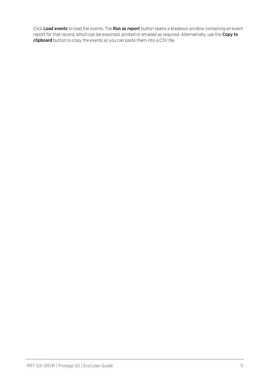Click Load events to load the events. The Run as report button opens a breakout window containing an event report for that record, which can be exported, printed or emailed as required. Alternatively, use the Copy to clipboard button to copy the events so you can paste them into a CSV file.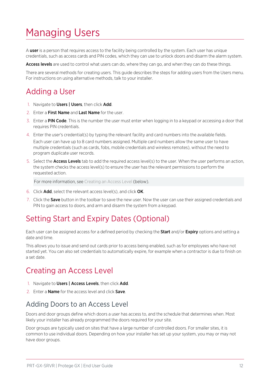# <span id="page-11-0"></span>Managing Users

A user is a person that requires access to the facility being controlled by the system. Each user has unique credentials, such as access cards and PIN codes, which they can use to unlock doors and disarm the alarm system.

Access levels are used to control what users can do, where they can go, and when they can do these things.

<span id="page-11-1"></span>There are several methods for creating users. This guide describes the steps for adding users from the Users menu. For instructions on using alternative methods, talk to your installer.

# Adding a User

- 1. Navigate to Users | Users, then click Add.
- 2. Enter a **First Name** and **Last Name** for the user.
- 3. Enter a PIN Code. This is the number the user must enter when logging in to a keypad or accessing a door that requires PIN credentials.
- 4. Enter the user's credential(s) by typing the relevant facility and card numbers into the available fields. Each user can have up to 8 card numbers assigned. Multiple card numbers allow the same user to have multiple credentials (such as cards, fobs, mobile credentials and wireless remotes), without the need to program duplicate user records.
- 5. Select the **Access Levels** tab to add the required access level(s) to the user. When the user performs an action, the system checks the access level(s) to ensure the user has the relevant permissions to perform the requested action.

For more [information,](#page-11-3) see Creating an Access Level (below).

- 6. Click Add, select the relevant access level(s), and click OK.
- <span id="page-11-2"></span>7. Click the **Save** button in the toolbar to save the new user. Now the user can use their assigned credentials and PIN to gain access to doors, and arm and disarm the system from a keypad.

## Setting Start and Expiry Dates (Optional)

Each user can be assigned access for a defined period by checking the **Start** and/or **Expiry** options and setting a date and time.

This allows you to issue and send out cards prior to access being enabled, such as for employees who have not started yet. You can also set credentials to automatically expire, for example when a contractor is due to finish on a set date.

## <span id="page-11-3"></span>Creating an Access Level

- 1. Navigate to Users | Access Levels, then click Add.
- <span id="page-11-4"></span>2. Enter a **Name** for the access level and click **Save**.

#### Adding Doors to an Access Level

Doors and door groups define which doors a user has access to, and the schedule that determines when. Most likely your installer has already programmed the doors required for your site.

Door groups are typically used on sites that have a large number of controlled doors. For smaller sites, it is common to use individual doors. Depending on how your installer has set up your system, you may or may not have door groups.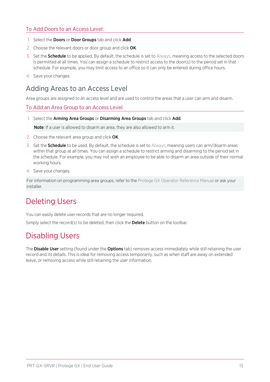#### To Add Doors to an Access Level:

- 1. Select the **Doors** or **Door Groups** tab and click **Add**.
- 2. Choose the relevant doors or door group and click OK.
- 3. Set the **Schedule** to be applied. By default, the schedule is set to Always, meaning access to the selected doors is permitted at all times. You can assign a schedule to restrict access to the door(s) to the period set in that schedule. For example, you may limit access to an office so it can only be entered during office hours.
- <span id="page-12-0"></span>4. Save your changes.

#### Adding Areas to an Access Level

Area groups are assigned to an access level and are used to control the areas that a user can arm and disarm.

To Add an Area Group to an Access Level:

1. Select the Arming Area Groups or Disarming Area Groups tab and click Add.

Note: If a user is allowed to disarm an area, they are also allowed to arm it.

- 2. Choose the relevant area group and click OK.
- 3. Set the **Schedule** to be used. By default, the schedule is set to Always, meaning users can arm/disarm areas within that group at all times. You can assign a schedule to restrict arming and disarming to the period set in the schedule. For example, you may not wish an employee to be able to disarm an area outside of their normal working hours.
- 4. Save your changes.

<span id="page-12-1"></span>For information on programming area groups, refer to the Protege GX Operator Reference Manual or ask your installer.

# Deleting Users

You can easily delete user records that are no longer required.

<span id="page-12-2"></span>Simply select the record(s) to be deleted, then click the **Delete** button on the toolbar.

# Disabling Users

The Disable User setting (found under the Options tab) removes access immediately while still retaining the user record and its details. This is ideal for removing access temporarily, such as when staff are away on extended leave, or removing access while still retaining the user information.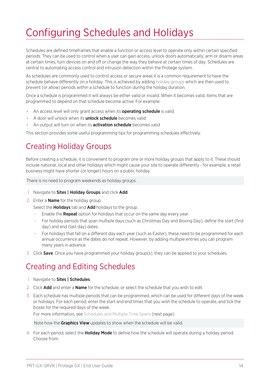# <span id="page-13-0"></span>Configuring Schedules and Holidays

Schedules are defined timeframes that enable a function or access level to operate only within certain specified periods. They can be used to control when a user can gain access, unlock doors automatically, arm or disarm areas at certain times, turn devices on and off or change the way they behave at certain times of day. Schedules are central to automating access control and intrusion detection within the Protege system.

As schedules are commonly used to control access or secure areas it is a common requirement to have the schedule behave differently on a holiday. This is achieved by adding holiday groups which are then used to prevent (or allow) periods within a schedule to function during the holiday duration.

Once a schedule is programmed it will always be either valid or invalid. When it becomes valid, items that are programmed to depend on that schedule become active. For example:

- . An access level will only grant access when its **operating schedule** is valid
- A door will unlock when its **unlock schedule** becomes valid
- **An output will turn on when its activation schedule** becomes valid

<span id="page-13-1"></span>This section provides some useful programming tips for programming schedules effectively.

# Creating Holiday Groups

Before creating a schedule, it is convenient to program one or more holiday groups that apply to it. These should include national, local and other holidays which might cause your site to operate differently - for example, a retail business might have shorter (or longer) hours on a public holiday.

There is no need to program weekends as holiday groups.

- 1. Navigate to **Sites | Holiday Groups** and click **Add**.
- 2. Enter a **Name** for the holiday group.

Select the **Holidays** tab and **Add** holidays to the group.

- Enable the Repeat option for holidays that occur on the same day every year.
- For holiday periods that span multiple days (such as Christmas Day and Boxing Day), define the start (first day) and end (last day) dates.
- For holidays that fall on a different day each year (such as Easter), these need to be programmed for each annual occurrence as the dates do not repeat. However, by adding multiple entries you can program many years in advance.
- <span id="page-13-2"></span>3. Click Save. Once you have programmed your holiday group(s), they can be applied to your schedules.

# Creating and Editing Schedules

- 1. Navigate to Sites | Schedules.
- 2. Click **Add** and enter a **Name** for the schedule, or select the schedule that you wish to edit.
- 3. Each schedule has multiple periods that can be programmed, which can be used for different days of the week or holidays. For each period, enter the start and end times that you wish the schedule to operate, and tick the boxes for the required days of the week.

For more [information,](#page-14-2) see Schedules and Multiple Time Spans (next page).

Note how the Graphics View updates to show when the schedule will be valid.

4. For each period, select the **Holiday Mode** to define how the schedule will operate during a holiday period. Choose from: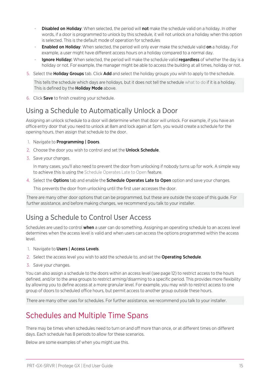- Disabled on Holiday: When selected, the period will not make the schedule valid on a holiday. In other words, if a door is programmed to unlock by this schedule, it will not unlock on a holiday when this option is selected. This is the default mode of operation for schedules
- **Enabled on Holiday**: When selected, the period will only ever make the schedule valid on a holiday. For example, a user might have different access hours on a holiday compared to a normal day.
- Ignore Holiday: When selected, the period will make the schedule valid regardless of whether the day is a holiday or not. For example, the manager might be able to access the building at all times, holiday or not.
- 5. Select the Holiday Groups tab. Click Add and select the holiday groups you wish to apply to the schedule.

This tells the schedule which days are holidays, but it does not tell the schedule what to do if it is a holiday. This is defined by the **Holiday Mode** above.

<span id="page-14-0"></span>6. Click Save to finish creating your schedule.

#### Using a Schedule to Automatically Unlock a Door

Assigning an unlock schedule to a door will determine when that door will unlock. For example, if you have an office entry door that you need to unlock at 8am and lock again at 5pm, you would create a schedule for the opening hours, then assign that schedule to the door.

- 1. Navigate to **Programming | Doors**.
- 2. Choose the door you wish to control and set the **Unlock Schedule**.
- 3. Save your changes.

In many cases, you'll also need to prevent the door from unlocking if nobody turns up for work. A simple way to achieve this is using the Schedule Operates Late to Open feature.

4. Select the **Options** tab and enable the **Schedule Operates Late to Open** option and save your changes.

This prevents the door from unlocking until the first user accesses the door.

There are many other door options that can be programmed, but these are outside the scope of this guide. For further assistance, and before making changes, we recommend you talk to your installer.

## <span id="page-14-1"></span>Using a Schedule to Control User Access

Schedules are used to control **when** a user can do something. Assigning an operating schedule to an access level determines when the access level is valid and when users can access the options programmed within the access level.

- 1. Navigate to Users | Access Levels.
- 2. Select the access level you wish to add the schedule to, and set the Operating Schedule.
- 3. Save your changes.

You can also assign a schedule to the doors within an access level (see [page 12\)](#page-11-4) to restrict access to the hours defined, and/or to the area groups to restrict arming/disarming to a specific period. This provides more flexibility by allowing you to define access at a more granular level. For example, you may wish to restrict access to one group of doors to scheduled office hours, but permit access to another group outside these hours.

<span id="page-14-2"></span>There are many other uses for schedules. For further assistance, we recommend you talk to your installer.

## Schedules and Multiple Time Spans

There may be times when schedules need to turn on and off more than once, or at different times on different days. Each schedule has 8 periods to allow for these scenarios.

Below are some examples of when you might use this.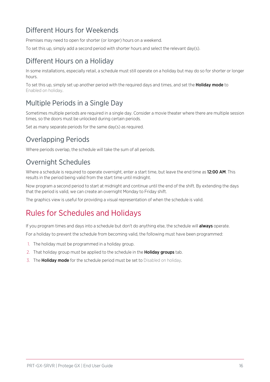### <span id="page-15-0"></span>Different Hours for Weekends

Premises may need to open for shorter (or longer) hours on a weekend.

<span id="page-15-1"></span>To set this up, simply add a second period with shorter hours and select the relevant day(s).

### Different Hours on a Holiday

In some installations, especially retail, a schedule must still operate on a holiday but may do so for shorter or longer hours.

<span id="page-15-2"></span>To set this up, simply set up another period with the required days and times, and set the **Holiday mode** to Enabled on holiday.

### Multiple Periods in a Single Day

Sometimes multiple periods are required in a single day. Consider a movie theater where there are multiple session times, so the doors must be unlocked during certain periods.

<span id="page-15-3"></span>Set as many separate periods for the same day(s) as required.

#### Overlapping Periods

<span id="page-15-4"></span>Where periods overlap, the schedule will take the sum of all periods.

#### Overnight Schedules

Where a schedule is required to operate overnight, enter a start time, but leave the end time as 12:00 AM. This results in the period being valid from the start time until midnight.

Now program a second period to start at midnight and continue until the end of the shift. By extending the days that the period is valid, we can create an overnight Monday to Friday shift.

<span id="page-15-5"></span>The graphics view is useful for providing a visual representation of when the schedule is valid.

# Rules for Schedules and Holidays

If you program times and days into a schedule but don't do anything else, the schedule will **always** operate.

For a holiday to prevent the schedule from becoming valid, the following must have been programmed:

- 1. The holiday must be programmed in a holiday group.
- 2. That holiday group must be applied to the schedule in the **Holiday groups** tab.
- 3. The **Holiday mode** for the schedule period must be set to Disabled on holiday.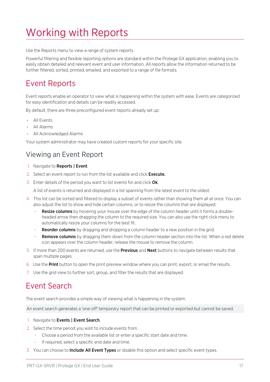# <span id="page-16-0"></span>Working with Reports

Use the Reports menu to view a range of system reports.

Powerful filtering and flexible reporting options are standard within the Protege GX application, enabling you to easily obtain detailed and relevant event and user information. All reports allow the information returned to be further filtered, sorted, printed, emailed, and exported to a range of file formats.

## <span id="page-16-1"></span>Event Reports

Event reports enable an operator to view what is happening within the system with ease. Events are categorized for easy identification and details can be readily accessed.

By default, there are three preconfigured event reports already set up:

- All Events
- ⦁ All Alarms
- ⦁ All Acknowledged Alarms

<span id="page-16-2"></span>Your system administrator may have created custom reports for your specific site.

#### Viewing an Event Report

- 1. Navigate to Reports | Event.
- 2. Select an event report to run from the list available and click Execute.
- 3. Enter details of the period you want to list events for and click Ok.

A list of events is returned and displayed in a list spanning from the latest event to the oldest.

- 4. This list can be sorted and filtered to display a subset of events rather than showing them all at once. You can also adjust the list to show and hide certain columns, or to resize the columns that are displayed:
	- **Resize columns** by hovering your mouse over the edge of the column header until it forms a doubleheaded arrow then dragging the column to the required size. You can also use the right click menu to automatically resize your columns for the best fit.
	- **Reorder columns** by dragging and dropping a column header to a new position in the grid.
	- **Remove columns** by dragging them down from the column header section into the list. When a red delete icon appears over the column header, release the mouse to remove the column.
- 5. If more than 200 events are returned, use the **Previous** and **Next** buttons to navigate between results that span multiple pages.
- 6. Use the Print button to open the print preview window where you can print, export, or email the results.
- <span id="page-16-3"></span>7. Use the grid view to further sort, group, and filter the results that are displayed.

## Event Search

The event search provides a simple way of viewing what is happening in the system.

An event search generates a 'one-off' temporary report that can be printed or exported but cannot be saved.

- 1. Navigate to Events | Event Search.
- 2. Select the time period you wish to include events from.
	- Choose a period from the available list or enter a specific start date and time.
	- If required, select a specific end date and time.
- 3. You can choose to **Include All Event Types** or disable this option and select specific event types.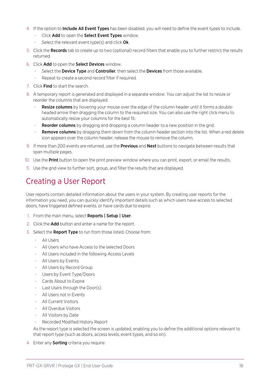- 4. If the option to **Include All Event Types** has been disabled, you will need to define the event types to include.
	- Click Add to open the Select Event Types window.
	- Select the relevant event type(s) and click  $Ok$ .
- 5. Click the **Records** tab to create up to two (optional) record filters that enable you to further restrict the results returned.
- 6. Click Add to open the Select Devices window.
	- Select the Device Type and Controller, then select the Devices from those available.
	- Repeat to create a second record filter if required.
- 7. Click Find to start the search.
- 8. A temporary report is generated and displayed in a separate window. You can adjust the list to resize or reorder the columns that are displayed:
	- **Resize columns** by hovering your mouse over the edge of the column header until it forms a doubleheaded arrow then dragging the column to the required size. You can also use the right click menu to automatically resize your columns for the best fit.
	- **Reorder columns** by dragging and dropping a column header to a new position in the grid.
	- **Remove columns** by dragging them down from the column header section into the list. When a red delete icon appears over the column header, release the mouse to remove the column.
- 9. If more than 200 events are returned, use the **Previous** and **Next** buttons to navigate between results that span multiple pages.
- 10. Use the **Print** button to open the print preview window where you can print, export, or email the results.
- <span id="page-17-0"></span>11. Use the grid view to further sort, group, and filter the results that are displayed.

# Creating a User Report

User reports contain detailed information about the users in your system. By creating user reports for the information you need, you can quickly identify important details such as which users have access to selected doors, have triggered defined events, or have cards due to expire.

- 1. From the main menu, select Reports | Setup | User.
- 2. Click the **Add** button and enter a name for the report.
- 3. Select the Report Type to run from those listed. Choose from:
	- All Users
	- All Users who have Access to the selected Doors
	- All Users included in the following Access Levels
	- All Users by Events
	- All Users by Record Group
	- Users by Event Type/Doors
	- Cards About to Expire
	- Last Users through the Door(s)
	- All Users not in Events
	- All Current Visitors
	- All Overdue Visitors
	- All Visitors by Date
	- Recorded Modified History Report

As the report type is selected the screen is updated, enabling you to define the additional options relevant to that report type (such as doors, access levels, event types, and so on).

4. Enter any **Sorting** criteria you require: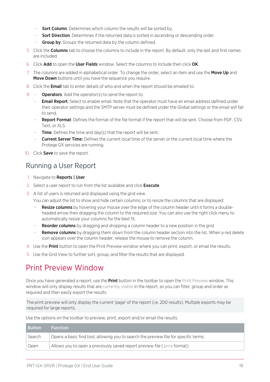- Sort Column: Determines which column the results will be sorted by.
- **Sort Direction**: Determines if the returned data is sorted in ascending or descending order.
- Group by: Groups the returned data by the column defined.
- 5. Click the **Columns** tab to choose the columns to include in the report. By default, only the last and first names are included.
- 6. Click Add to open the User Fields window. Select the columns to include then click OK.
- 7. The columns are added in alphabetical order. To change the order, select an item and use the Move Up and Move Down buttons until you have the sequence you require.
- 8. Click the Email tab to enter details of who and when the report should be emailed to.
- 9. **Operators**: Add the operator(s) to send the report to.
	- **Email Report**: Select to enable email. Note that the operator must have an email address defined under their operator settings and the SMTP server must be defined under the Global settings or the email will fail to send.
	- Report Format: Defines the format of the file format if the report that will be sent. Choose from PDF, CSV, Text, or XLS.
	- **Time**: Defines the time and day(s) that the report will be sent.
	- **Current Server Time:** Defines the current local time of the server or the current local time where the Protege GX services are running.
- <span id="page-18-0"></span>10. Click Save to save the report.

#### Running a User Report

- 1. Navigate to Reports | User.
- 2. Select a user report to run from the list available and click Execute.
- 3. A list of users is returned and displayed using the grid view.

You can adjust the list to show and hide certain columns, or to resize the columns that are displayed:

- **Resize columns** by hovering your mouse over the edge of the column header until it forms a doubleheaded arrow then dragging the column to the required size. You can also use the right click menu to automatically resize your columns for the best fit.
- Reorder columns by dragging and dropping a column header to a new position in the grid.
- **Remove columns** by dragging them down from the column header section into the list. When a red delete icon appears over the column header, release the mouse to remove the column.
- 4. Use the **Print** button to open the Print Preview window where you can print, export, or email the results.
- <span id="page-18-1"></span>5. Use the Grid View to further sort, group, and filter the results that are displayed.

# Print Preview Window

Once you have generated a report, use the **Print** button in the toolbar to open the Print Preview window. This window will only display results that are currently visible in the report, so you can filter, group and order as required and then easily export the results.

The print preview will only display the current 'page' of the report (i.e. 200 results). Multiple exports may be required for large reports.

Use the options on the toolbar to preview, print, export and/or email the results.

| <b>Button</b> | <b>Function</b>                                                                      |
|---------------|--------------------------------------------------------------------------------------|
| Search        | Opens a basic find tool, allowing you to search the preview file for specific terms. |
| Open          | Allows you to open a previously saved report preview file (.prnx format).            |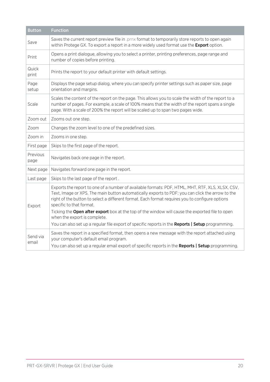| <b>Button</b>     | <b>Function</b>                                                                                                                                                                                                                                                                                                                     |
|-------------------|-------------------------------------------------------------------------------------------------------------------------------------------------------------------------------------------------------------------------------------------------------------------------------------------------------------------------------------|
| Save              | Saves the current report preview file in .prnx format to temporarily store reports to open again<br>within Protege GX. To export a report in a more widely used format use the <b>Export</b> option.                                                                                                                                |
| Print             | Opens a print dialogue, allowing you to select a printer, printing preferences, page range and<br>number of copies before printing.                                                                                                                                                                                                 |
| Quick<br>print    | Prints the report to your default printer with default settings.                                                                                                                                                                                                                                                                    |
| Page<br>setup     | Displays the page setup dialog, where you can specify printer settings such as paper size, page<br>orientation and margins.                                                                                                                                                                                                         |
| Scale             | Scales the content of the report on the page. This allows you to scale the width of the report to a<br>number of pages. For example, a scale of 100% means that the width of the report spans a single<br>page. With a scale of 200% the report will be scaled up to span two pages wide.                                           |
| Zoom out          | Zooms out one step.                                                                                                                                                                                                                                                                                                                 |
| Zoom              | Changes the zoom level to one of the predefined sizes.                                                                                                                                                                                                                                                                              |
| Zoom in           | Zooms in one step.                                                                                                                                                                                                                                                                                                                  |
| First page        | Skips to the first page of the report.                                                                                                                                                                                                                                                                                              |
| Previous<br>page  | Navigates back one page in the report.                                                                                                                                                                                                                                                                                              |
| Next page         | Navigates forward one page in the report.                                                                                                                                                                                                                                                                                           |
| Last page         | Skips to the last page of the report.                                                                                                                                                                                                                                                                                               |
| Export            | Exports the report to one of a number of available formats: PDF, HTML, MHT, RTF, XLS, XLSX, CSV,<br>Text, Image or XPS. The main button automatically exports to PDF; you can click the arrow to the<br>right of the button to select a different format. Each format requires you to configure options<br>specific to that format. |
|                   | Ticking the Open after export box at the top of the window will cause the exported file to open<br>when the export is complete.                                                                                                                                                                                                     |
|                   | You can also set up a regular file export of specific reports in the Reports   Setup programming.                                                                                                                                                                                                                                   |
| Send via<br>email | Saves the report in a specified format, then opens a new message with the report attached using<br>your computer's default email program.<br>You can also set up a regular email export of specific reports in the Reports   Setup programming.                                                                                     |
|                   |                                                                                                                                                                                                                                                                                                                                     |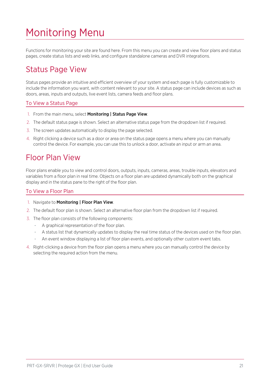# <span id="page-20-0"></span>Monitoring Menu

<span id="page-20-1"></span>Functions for monitoring your site are found here. From this menu you can create and view floor plans and status pages, create status lists and web links, and configure standalone cameras and DVR integrations.

## Status Page View

Status pages provide an intuitive and efficient overview of your system and each page is fully customizable to include the information you want, with content relevant to your site. A status page can include devices as such as doors, areas, inputs and outputs, live event lists, camera feeds and floor plans.

#### To View a Status Page

- 1. From the main menu, select Monitoring | Status Page View.
- 2. The default status page is shown. Select an alternative status page from the dropdown list if required.
- 3. The screen updates automatically to display the page selected.
- <span id="page-20-2"></span>4. Right clicking a device such as a door or area on the status page opens a menu where you can manually control the device. For example, you can use this to unlock a door, activate an input or arm an area.

## Floor Plan View

Floor plans enable you to view and control doors, outputs, inputs, cameras, areas, trouble inputs, elevators and variables from a floor plan in real time. Objects on a floor plan are updated dynamically both on the graphical display and in the status pane to the right of the floor plan.

#### To View a Floor Plan

- 1. Navigate to Monitoring | Floor Plan View.
- 2. The default floor plan is shown. Select an alternative floor plan from the dropdown list if required.
- 3. The floor plan consists of the following components:
	- A graphical representation of the floor plan.
	- A status list that dynamically updates to display the real time status of the devices used on the floor plan.
	- An event window displaying a list of floor plan events, and optionally other custom event tabs.
- 4. Right-clicking a device from the floor plan opens a menu where you can manually control the device by selecting the required action from the menu.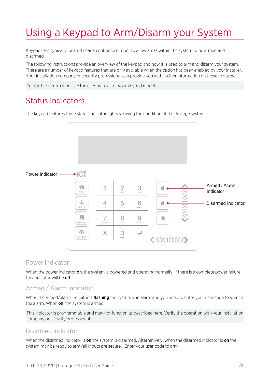# <span id="page-21-0"></span>Using a Keypad to Arm/Disarm your System

Keypads are typically located near an entrance or door to allow areas within the system to be armed and disarmed.

The following instructions provide an overview of the keypad and how it is used to arm and disarm your system. There are a number of keypad features that are only available when the option has been enabled by your installer. Your installation company or security professional can provide you with further information on these features.

<span id="page-21-1"></span>For further information, see the user manual for your keypad model.

## Status Indicators

The keypad features three status indicator lights showing the condition of the Protege system.



#### Power Indicator

When the power indicator on, the system is powered and operating normally. If there is a complete power failure this indicator will be **off**.

#### Armed / Alarm Indicator

When the armed/alarm indicator is *flashing* the system is in alarm and you need to enter your user code to silence the alarm. When on, the system is armed.

This indicator is programmable and may not function as described here. Verify the operation with your installation company or security professional.

#### Disarmed Indicator

When the disarmed indicator is on the system is disarmed. Alternatively, when the disarmed indicator is on the system may be ready to arm (all inputs are secure). Enter your user code to arm.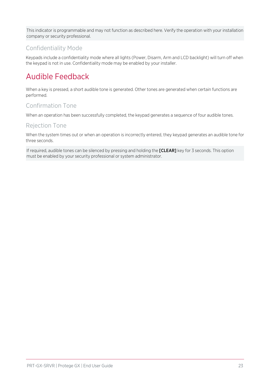This indicator is programmable and may not function as described here. Verify the operation with your installation company or security professional.

#### Confidentiality Mode

<span id="page-22-0"></span>Keypads include a confidentiality mode where all lights (Power, Disarm, Arm and LCD backlight) will turn off when the keypad is not in use. Confidentiality mode may be enabled by your installer.

# Audible Feedback

When a key is pressed, a short audible tone is generated. Other tones are generated when certain functions are performed.

#### Confirmation Tone

When an operation has been successfully completed, the keypad generates a sequence of four audible tones.

#### Rejection Tone

When the system times out or when an operation is incorrectly entered, they keypad generates an audible tone for three seconds.

If required, audible tones can be silenced by pressing and holding the [CLEAR] key for 3 seconds. This option must be enabled by your security professional or system administrator.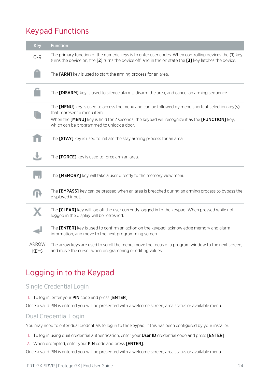# <span id="page-23-0"></span>Keypad Functions

| Key                  | <b>Function</b>                                                                                                                                                                                                 |
|----------------------|-----------------------------------------------------------------------------------------------------------------------------------------------------------------------------------------------------------------|
| $O - 9$              | The primary function of the numeric keys is to enter user codes. When controlling devices the [1] key<br>turns the device on, the [2] turns the device off, and in the on state the [3] key latches the device. |
|                      | The [ARM] key is used to start the arming process for an area.                                                                                                                                                  |
|                      | The [DISARM] key is used to silence alarms, disarm the area, and cancel an arming sequence.                                                                                                                     |
|                      | The $[MEMU]$ key is used to access the menu and can be followed by menu shortcut selection key(s)<br>that represent a menu item.                                                                                |
|                      | When the [MENU] key is held for 2 seconds, the keypad will recognize it as the [FUNCTION] key,<br>which can be programmed to unlock a door.                                                                     |
|                      | The [STAY] key is used to initiate the stay arming process for an area.                                                                                                                                         |
|                      | The [FORCE] key is used to force arm an area.                                                                                                                                                                   |
|                      | The [MEMORY] key will take a user directly to the memory view menu.                                                                                                                                             |
|                      | The [BYPASS] key can be pressed when an area is breached during an arming process to bypass the<br>displayed input.                                                                                             |
|                      | The <b>[CLEAR]</b> key will log off the user currently logged in to the keypad. When pressed while not<br>logged in the display will be refreshed.                                                              |
|                      | The [ENTER] key is used to confirm an action on the keypad, acknowledge memory and alarm<br>information, and move to the next programming screen.                                                               |
| ARROW<br><b>KEYS</b> | The arrow keys are used to scroll the menu, move the focus of a program window to the next screen,<br>and move the cursor when programming or editing values.                                                   |

# <span id="page-23-1"></span>Logging in to the Keypad

#### Single Credential Login

#### 1. To log in, enter your PIN code and press [ENTER].

Once a valid PIN is entered you will be presented with a welcome screen, area status or available menu.

#### Dual Credential Login

You may need to enter dual credentials to log in to the keypad, if this has been configured by your installer.

- 1. To log in using dual credential authentication, enter your User ID credential code and press [ENTER].
- 2. When prompted, enter your PIN code and press [ENTER].

Once a valid PIN is entered you will be presented with a welcome screen, area status or available menu.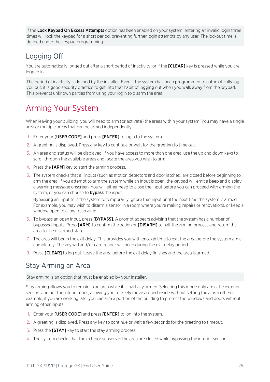If the Lock Keypad On Excess Attempts option has been enabled on your system, entering an invalid login three times will lock the keypad for a short period, preventing further login attempts by any user. The lockout time is defined under the keypad programming.

### <span id="page-24-0"></span>Logging Off

You are automatically logged out after a short period of inactivity, or if the **[CLEAR]** key is pressed while you are logged in.

The period of inactivity is defined by the installer. Even if the system has been programmed to automatically log you out, it is good security practice to get into that habit of logging out when you walk away from the keypad. This prevents unknown parties from using your login to disarm the area.

# <span id="page-24-1"></span>Arming Your System

When leaving your building, you will need to arm (or activate) the areas within your system. You may have a single area or multiple areas that can be armed independently.

- 1. Enter your **[USER CODE]** and press **[ENTER]** to login to the system.
- 2. A greeting is displayed. Press any key to continue or wait for the greeting to time out.
- 3. An area and status will be displayed. If you have access to more than one area, use the up and down keys to scroll through the available areas and locate the area you wish to arm.
- 4. Press the **[ARM]** key to start the arming process.
- 5. The system checks that all inputs (such as motion detectors and door latches) are closed before beginning to arm the area. If you attempt to arm the system while an input is open, the keypad will emit a beep and display a warning message onscreen. You will either need to close the input before you can proceed with arming the system, or you can choose to **bypass** the input.

Bypassing an input tells the system to temporarily ignore that input until the next time the system is armed. For example, you may wish to disarm a sensor in a room where you're making repairs or renovations, or keep a window open to allow fresh air in.

- 6. To bypass an open input, press [BYPASS]. A prompt appears advising that the system has a number of bypassed inputs. Press [ARM] to confirm the action or [DISARM] to halt the arming process and return the area to the disarmed state.
- 7. The area will begin the exit delay. This provides you with enough time to exit the area before the system arms completely. The keypad and/or card reader will beep during the exit delay period.
- <span id="page-24-2"></span>8. Press [CLEAR] to log out. Leave the area before the exit delay finishes and the area is armed.

#### Stay Arming an Area

Stay arming is an option that must be enabled by your installer.

Stay arming allows you to remain in an area while it is partially armed. Selecting this mode only arms the exterior sensors and not the interior ones, allowing you to freely move around inside without setting the alarm off. For example, if you are working late, you can arm a portion of the building to protect the windows and doors without arming other inputs.

- 1. Enter your [USER CODE] and press [ENTER] to log into the system.
- 2. A greeting is displayed. Press any key to continue or wait a few seconds for the greeting to timeout.
- 3. Press the **[STAY]** key to start the stay arming process.
- 4. The system checks that the exterior sensors in the area are closed while bypassing the interior sensors.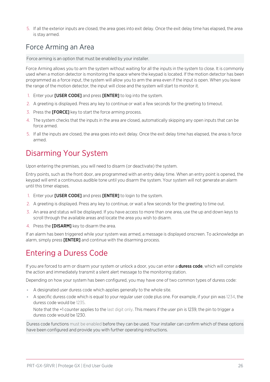<span id="page-25-0"></span>5. If all the exterior inputs are closed, the area goes into exit delay. Once the exit delay time has elapsed, the area is stay armed.

## Force Arming an Area

Force arming is an option that must be enabled by your installer.

Force Arming allows you to arm the system without waiting for all the inputs in the system to close. It is commonly used when a motion detector is monitoring the space where the keypad is located. If the motion detector has been programmed as a force input, the system will allow you to arm the area even if the input is open. When you leave the range of the motion detector, the input will close and the system will start to monitor it.

- 1. Enter your [USER CODE] and press [ENTER] to log into the system.
- 2. A greeting is displayed. Press any key to continue or wait a few seconds for the greeting to timeout.
- 3. Press the [FORCE] key to start the force arming process.
- 4. The system checks that the inputs in the area are closed, automatically skipping any open inputs that can be force armed.
- <span id="page-25-1"></span>5. If all the inputs are closed, the area goes into exit delay. Once the exit delay time has elapsed, the area is force armed.

# Disarming Your System

Upon entering the premises, you will need to disarm (or deactivate) the system.

Entry points, such as the front door, are programmed with an entry delay time. When an entry point is opened, the keypad will emit a continuous audible tone until you disarm the system. Your system will not generate an alarm until this timer elapses.

- 1. Enter your [USER CODE] and press [ENTER] to login to the system.
- 2. A greeting is displayed. Press any key to continue, or wait a few seconds for the greeting to time out.
- 3. An area and status will be displayed. If you have access to more than one area, use the up and down keys to scroll through the available areas and locate the area you wish to disarm.
- 4. Press the [DISARM] key to disarm the area.

<span id="page-25-2"></span>If an alarm has been triggered while your system was armed, a message is displayed onscreen. To acknowledge an alarm, simply press [ENTER] and continue with the disarming process.

# Entering a Duress Code

If you are forced to arm or disarm your system or unlock a door, you can enter a **duress code**, which will complete the action and immediately transmit a silent alert message to the monitoring station.

Depending on how your system has been configured, you may have one of two common types of duress code:

- ⦁ A designated user duress code which applies generally to the whole site.
- ⦁ A specific duress code which is equal to your regular user code plus one. For example, if your pin was 1234, the duress code would be 1235.

Note that the +1 counter applies to the last digit only. This means if the user pin is 1239, the pin to trigger a duress code would be 1230.

Duress code functions must be enabled before they can be used. Your installer can confirm which of these options have been configured and provide you with further operating instructions.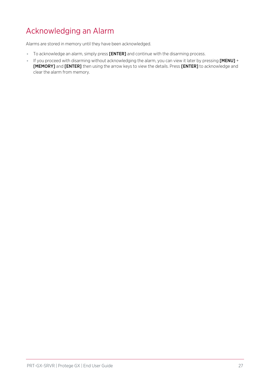# <span id="page-26-0"></span>Acknowledging an Alarm

Alarms are stored in memory until they have been acknowledged.

- ⦁ To acknowledge an alarm, simply press [ENTER] and continue with the disarming process.
- ⦁ If you proceed with disarming without acknowledging the alarm, you can view it later by pressing [MENU] + [MEMORY] and [ENTER] then using the arrow keys to view the details. Press [ENTER] to acknowledge and clear the alarm from memory.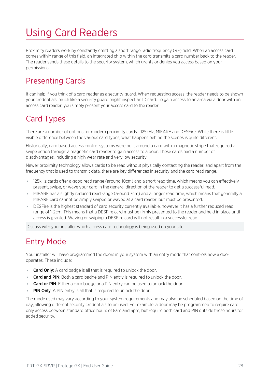# <span id="page-27-0"></span>Using Card Readers

Proximity readers work by constantly emitting a short range radio frequency (RF) field. When an access card comes within range of this field, an integrated chip within the card transmits a card number back to the reader. The reader sends these details to the security system, which grants or denies you access based on your permissions.

# <span id="page-27-1"></span>Presenting Cards

It can help if you think of a card reader as a security guard. When requesting access, the reader needs to be shown your credentials, much like a security guard might inspect an ID card. To gain access to an area via a door with an access card reader, you simply present your access card to the reader.

## <span id="page-27-2"></span>Card Types

There are a number of options for modern proximity cards - 125kHz, MIFARE and DESFire. While there is little visible difference between the various card types, what happens behind the scenes is quite different.

Historically, card based access control systems were built around a card with a magnetic stripe that required a swipe action through a magnetic card reader to gain access to a door. These cards had a number of disadvantages, including a high wear rate and very low security.

Newer proximity technology allows cards to be read without physically contacting the reader, and apart from the frequency that is used to transmit data, there are key differences in security and the card read range.

- ⦁ 125kHz cards offer a good read range (around 10cm) and a short read time, which means you can effectively present, swipe, or wave your card in the general direction of the reader to get a successful read.
- ⦁ MIFARE has a slightly reduced read range (around 7cm) and a longer read time, which means that generally a MIFARE card cannot be simply swiped or waved at a card reader, but must be presented.
- ⦁ DESFire is the highest standard of card security currently available, however it has a further reduced read range of 1-2cm. This means that a DESFire card must be firmly presented to the reader and held in place until access is granted. Waving or swiping a DESFire card will not result in a successful read.

<span id="page-27-3"></span>Discuss with your installer which access card technology is being used on your site.

# Entry Mode

Your installer will have programmed the doors in your system with an entry mode that controls how a door operates. These include:

- Card Only: A card badge is all that is required to unlock the door.
- **Card and PIN:** Both a card badge and PIN entry is required to unlock the door.
- **Card or PIN:** Either a card badge or a PIN entry can be used to unlock the door.
- **PIN Only:** A PIN entry is all that is required to unlock the door.

The mode used may vary according to your system requirements and may also be scheduled based on the time of day, allowing different security credentials to be used. For example, a door may be programmed to require card only access between standard office hours of 8am and 5pm, but require both card and PIN outside these hours for added security.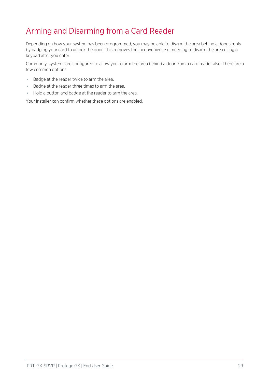# <span id="page-28-0"></span>Arming and Disarming from a Card Reader

Depending on how your system has been programmed, you may be able to disarm the area behind a door simply by badging your card to unlock the door. This removes the inconvenience of needing to disarm the area using a keypad after you enter.

Commonly, systems are configured to allow you to arm the area behind a door from a card reader also. There are a few common options:

- ⦁ Badge at the reader twice to arm the area.
- ⦁ Badge at the reader three times to arm the area.
- ⦁ Hold a button and badge at the reader to arm the area.

Your installer can confirm whether these options are enabled.